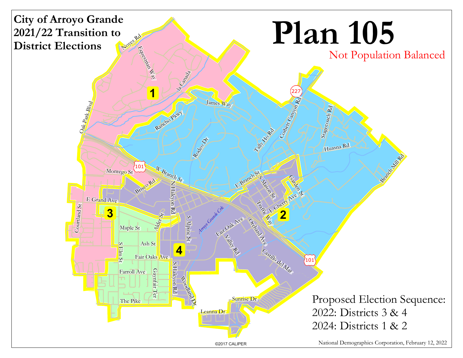